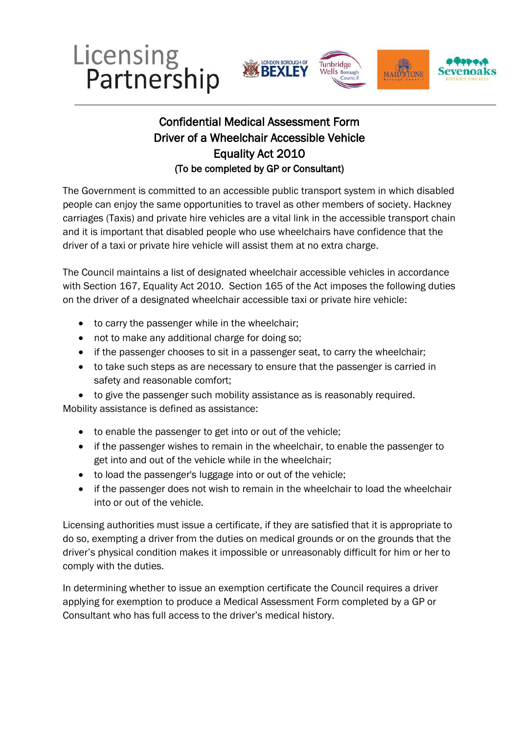





## Equality Act 2010 Confidential Medical Assessment Form Driver of a Wheelchair Accessible Vehicle (To be completed by GP or Consultant)

The Government is committed to an accessible public transport system in which disabled people can enjoy the same opportunities to travel as other members of society. Hackney carriages (Taxis) and private hire vehicles are a vital link in the accessible transport chain and it is important that disabled people who use wheelchairs have confidence that the driver of a taxi or private hire vehicle will assist them at no extra charge.

 on the driver of a designated wheelchair accessible taxi or private hire vehicle: The Council maintains a list of designated wheelchair accessible vehicles in accordance with Section 167, Equality Act 2010. Section 165 of the Act imposes the following duties

- to carry the passenger while in the wheelchair;
- not to make any additional charge for doing so;
- if the passenger chooses to sit in a passenger seat, to carry the wheelchair;
- to take such steps as are necessary to ensure that the passenger is carried in safety and reasonable comfort;

 Mobility assistance is defined as assistance: to give the passenger such mobility assistance as is reasonably required.

- to enable the passenger to get into or out of the vehicle;
- if the passenger wishes to remain in the wheelchair, to enable the passenger to get into and out of the vehicle while in the wheelchair;
- to load the passenger's luggage into or out of the vehicle;
- if the passenger does not wish to remain in the wheelchair to load the wheelchair into or out of the vehicle.

Licensing authorities must issue a certificate, if they are satisfied that it is appropriate to do so, exempting a driver from the duties on medical grounds or on the grounds that the driver's physical condition makes it impossible or unreasonably difficult for him or her to comply with the duties.

In determining whether to issue an exemption certificate the Council requires a driver applying for exemption to produce a Medical Assessment Form completed by a GP or Consultant who has full access to the driver's medical history.